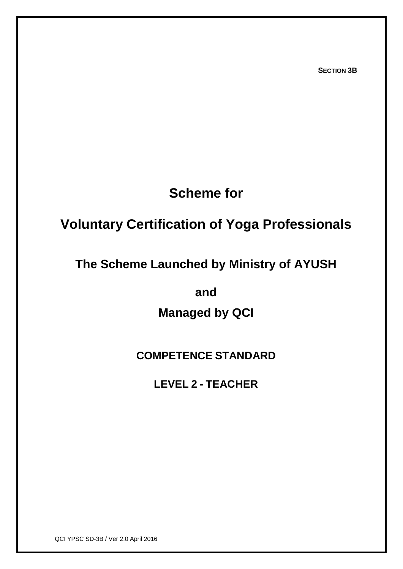**SECTION 3B**

# **Scheme for**

# **Voluntary Certification of Yoga Professionals**

## **The Scheme Launched by Ministry of AYUSH**

**and** 

**Managed by QCI**

## **COMPETENCE STANDARD**

**LEVEL 2 - TEACHER**

QCI YPSC SD-3B / Ver 2.0 April 2016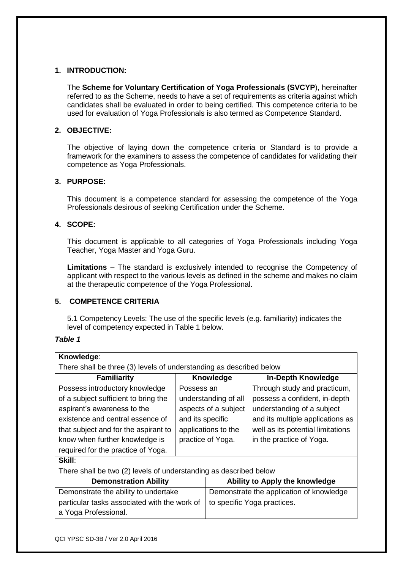## **1. INTRODUCTION:**

The **Scheme for Voluntary Certification of Yoga Professionals (SVCYP**), hereinafter referred to as the Scheme, needs to have a set of requirements as criteria against which candidates shall be evaluated in order to being certified. This competence criteria to be used for evaluation of Yoga Professionals is also termed as Competence Standard.

## **2. OBJECTIVE:**

The objective of laying down the competence criteria or Standard is to provide a framework for the examiners to assess the competence of candidates for validating their competence as Yoga Professionals.

## **3. PURPOSE:**

This document is a competence standard for assessing the competence of the Yoga Professionals desirous of seeking Certification under the Scheme.

## **4. SCOPE:**

This document is applicable to all categories of Yoga Professionals including Yoga Teacher, Yoga Master and Yoga Guru.

**Limitations** – The standard is exclusively intended to recognise the Competency of applicant with respect to the various levels as defined in the scheme and makes no claim at the therapeutic competence of the Yoga Professional.

## **5. COMPETENCE CRITERIA**

5.1 Competency Levels: The use of the specific levels (e.g. familiarity) indicates the level of competency expected in Table 1 below.

## *Table 1*

| Knowledge:                                                          |                      |                                          |                                   |  |  |
|---------------------------------------------------------------------|----------------------|------------------------------------------|-----------------------------------|--|--|
| There shall be three (3) levels of understanding as described below |                      |                                          |                                   |  |  |
| <b>Familiarity</b>                                                  | Knowledge            |                                          | <b>In-Depth Knowledge</b>         |  |  |
| Possess introductory knowledge                                      | Possess an           |                                          | Through study and practicum,      |  |  |
| of a subject sufficient to bring the                                | understanding of all |                                          | possess a confident, in-depth     |  |  |
| aspirant's awareness to the                                         | aspects of a subject |                                          | understanding of a subject        |  |  |
| existence and central essence of                                    | and its specific     |                                          | and its multiple applications as  |  |  |
| that subject and for the aspirant to                                | applications to the  |                                          | well as its potential limitations |  |  |
| know when further knowledge is                                      | practice of Yoga.    |                                          | in the practice of Yoga.          |  |  |
| required for the practice of Yoga.                                  |                      |                                          |                                   |  |  |
| <b>Skill:</b>                                                       |                      |                                          |                                   |  |  |
| There shall be two (2) levels of understanding as described below   |                      |                                          |                                   |  |  |
| <b>Demonstration Ability</b>                                        |                      | Ability to Apply the knowledge           |                                   |  |  |
| Demonstrate the ability to undertake                                |                      | Demonstrate the application of knowledge |                                   |  |  |
| particular tasks associated with the work of                        |                      | to specific Yoga practices.              |                                   |  |  |
| a Yoga Professional.                                                |                      |                                          |                                   |  |  |
|                                                                     |                      |                                          |                                   |  |  |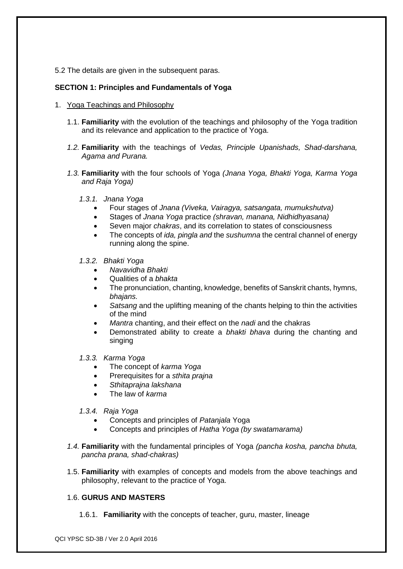5.2 The details are given in the subsequent paras.

## **SECTION 1: Principles and Fundamentals of Yoga**

- 1. Yoga Teachings and Philosophy
	- 1.1. **Familiarity** with the evolution of the teachings and philosophy of the Yoga tradition and its relevance and application to the practice of Yoga.
	- *1.2.* **Familiarity** with the teachings of *Vedas, Principle Upanishads, Shad-darshana, Agama and Purana.*
	- *1.3.* **Familiarity** with the four schools of Yoga *(Jnana Yoga, Bhakti Yoga, Karma Yoga and Raja Yoga)*
		- *1.3.1. Jnana Yoga*
			- Four stages of *Jnana (Viveka, Vairagya, satsangata, mumukshutva)*
			- Stages of *Jnana Yoga* practice *(shravan, manana, Nidhidhyasana)*
			- Seven major *chakras*, and its correlation to states of consciousness
			- The concepts of *ida, pingla and* the *sushumna* the central channel of energy running along the spine.
		- *1.3.2. Bhakti Yoga*
			- *Navavidha Bhakti*
			- Qualities of a *bhakta*
			- The pronunciation, chanting, knowledge, benefits of Sanskrit chants, hymns, *bhajans.*
			- *Satsang* and the uplifting meaning of the chants helping to thin the activities of the mind
			- *Mantra* chanting, and their effect on the *nadi* and the chakras
			- Demonstrated ability to create a *bhakti bhava* during the chanting and singing
		- *1.3.3. Karma Yoga*
			- The concept of *karma Yoga*
			- Prerequisites for a *sthita prajna*
			- *Sthitaprajna lakshana*
			- The law of *karma*
		- *1.3.4. Raja Yoga*
			- Concepts and principles of *Patanjala* Yoga
			- Concepts and principles of *Hatha Yoga (by swatamarama)*
	- *1.4.* **Familiarity** with the fundamental principles of Yoga *(pancha kosha, pancha bhuta, pancha prana, shad-chakras)*
	- 1.5. **Familiarity** with examples of concepts and models from the above teachings and philosophy, relevant to the practice of Yoga.

## 1.6. **GURUS AND MASTERS**

1.6.1. **Familiarity** with the concepts of teacher, guru, master, lineage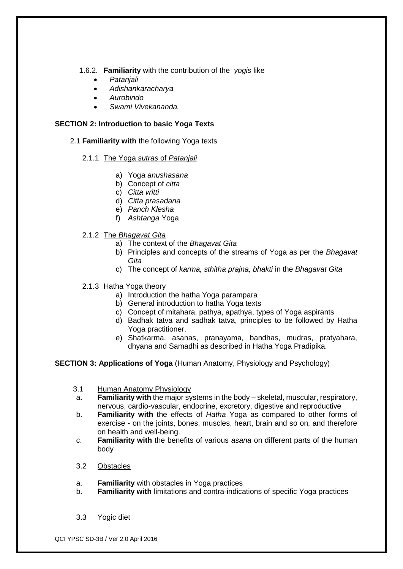## 1.6.2. **Familiarity** with the contribution of the *yogis* like

- *Patanjali*
- *Adishankaracharya*
- *Aurobindo*
- *Swami Vivekananda.*

## **SECTION 2: Introduction to basic Yoga Texts**

2.1 **Familiarity with** the following Yoga texts

## 2.1.1 The Yoga *sutras* of *Patanjali*

- a) Yoga *anushasana*
- b) Concept of *citta*
- c) *Citta vritti*
- d) *Citta prasadana*
- e) *Panch Klesha*
- f) *Ashtanga* Yoga
- 2.1.2 The *Bhagavat Gita*
	- a) The context of the *Bhagavat Gita*
	- b) Principles and concepts of the streams of Yoga as per the *Bhagavat Gita*
	- c) The concept of *karma, sthitha prajna, bhakti* in the *Bhagavat Gita*
- 2.1.3 Hatha Yoga theory
	- a) Introduction the hatha Yoga parampara
	- b) General introduction to hatha Yoga texts
	- c) Concept of mitahara, pathya, apathya, types of Yoga aspirants
	- d) Badhak tatva and sadhak tatva, principles to be followed by Hatha Yoga practitioner.
	- e) Shatkarma, asanas, pranayama, bandhas, mudras, pratyahara, dhyana and Samadhi as described in Hatha Yoga Pradipika.

## **SECTION 3: Applications of Yoga** (Human Anatomy, Physiology and Psychology)

- 3.1 Human Anatomy Physiology
- a. **Familiarity with** the major systems in the body skeletal, muscular, respiratory, nervous, cardio-vascular, endocrine, excretory, digestive and reproductive
- b. **Familiarity with** the effects of *Hatha* Yoga as compared to other forms of exercise - on the joints, bones, muscles, heart, brain and so on, and therefore on health and well-being.
- c. **Familiarity with** the benefits of various *asana* on different parts of the human body
- 3.2 Obstacles
- a. **Familiarity** with obstacles in Yoga practices
- b. **Familiarity with** limitations and contra-indications of specific Yoga practices
- 3.3 Yogic diet

QCI YPSC SD-3B / Ver 2.0 April 2016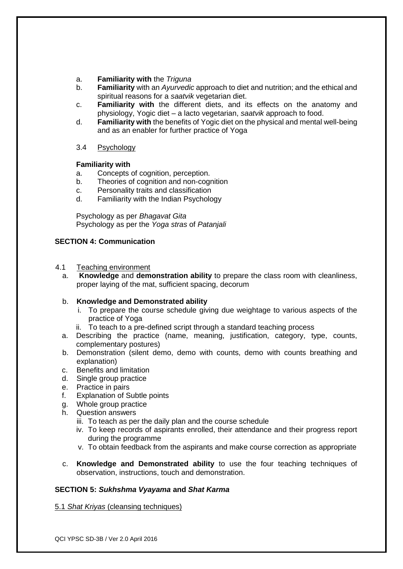- a. **Familiarity with** the *Triguna*
- b. **Familiarity** with an *Ayurvedic* approach to diet and nutrition; and the ethical and spiritual reasons for a *saatvik* vegetarian diet.
- c. **Familiarity with** the different diets, and its effects on the anatomy and physiology, Yogic diet – a lacto vegetarian, *saatvik* approach to food.
- d. **Familiarity with** the benefits of Yogic diet on the physical and mental well-being and as an enabler for further practice of Yoga
- 3.4 Psychology

#### **Familiarity with**

- a. Concepts of cognition, perception.
- b. Theories of cognition and non-cognition
- c. Personality traits and classification
- d. Familiarity with the Indian Psychology

Psychology as per *Bhagavat Gita* Psychology as per the *Yoga stras* of *Patanjali*

## **SECTION 4: Communication**

#### 4.1 Teaching environment

a. **Knowledge** and **demonstration ability** to prepare the class room with cleanliness, proper laying of the mat, sufficient spacing, decorum

## b. **Knowledge and Demonstrated ability**

- i. To prepare the course schedule giving due weightage to various aspects of the practice of Yoga
- ii. To teach to a pre-defined script through a standard teaching process
- a. Describing the practice (name, meaning, justification, category, type, counts, complementary postures)
- b. Demonstration (silent demo, demo with counts, demo with counts breathing and explanation)
- c. Benefits and limitation
- d. Single group practice
- e. Practice in pairs
- f. Explanation of Subtle points
- g. Whole group practice
- h. Question answers
	- iii. To teach as per the daily plan and the course schedule
	- iv. To keep records of aspirants enrolled, their attendance and their progress report during the programme
	- v. To obtain feedback from the aspirants and make course correction as appropriate
- c. **Knowledge and Demonstrated ability** to use the four teaching techniques of observation, instructions, touch and demonstration.

## **SECTION 5:** *Sukhshma Vyayama* **and** *Shat Karma*

5.1 *Shat Kriyas* (cleansing techniques)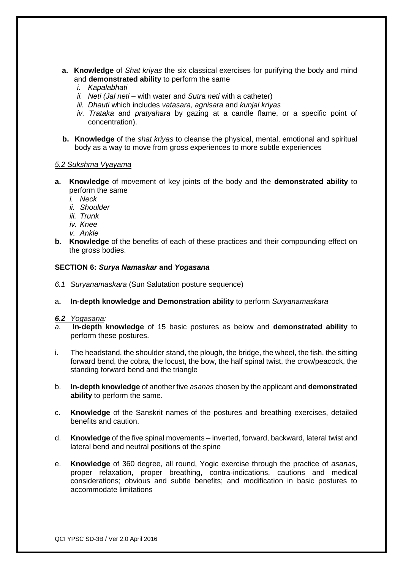- **a. Knowledge** of *Shat kriyas* the six classical exercises for purifying the body and mind and **demonstrated ability** to perform the same
	- *i. Kapalabhati*
	- *ii. Neti (Jal neti* with water and *Sutra neti* with a catheter)
	- *iii. Dhauti* which includes *vatasara, agnisara* and *kunjal kriyas*
	- *iv. Trataka* and *pratyahara* by gazing at a candle flame, or a specific point of concentration).
- **b. Knowledge** of the *shat kriyas* to cleanse the physical, mental, emotional and spiritual body as a way to move from gross experiences to more subtle experiences

#### *5.2 Sukshma Vyayama*

- **a. Knowledge** of movement of key joints of the body and the **demonstrated ability** to perform the same
	- *i. Neck*
	- *ii. Shoulder*
	- *iii. Trunk*
	- *iv. Knee*
	- *v. Ankle*
- **b. Knowledge** of the benefits of each of these practices and their compounding effect on the gross bodies.

#### **SECTION 6:** *Surya Namaskar* **and** *Yogasana*

- *6.1 Suryanamaskara* (Sun Salutation posture sequence)
- a**. In-depth knowledge and Demonstration ability** to perform *Suryanamaskara*

#### *6.2 Yogasana:*

- *a.* **In-depth knowledge** of 15 basic postures as below and **demonstrated ability** to perform these postures.
- i. The headstand, the shoulder stand, the plough, the bridge, the wheel, the fish, the sitting forward bend, the cobra, the locust, the bow, the half spinal twist, the crow/peacock, the standing forward bend and the triangle
- b. **In-depth knowledge** of another five *asanas* chosen by the applicant and **demonstrated ability** to perform the same.
- c. **Knowledge** of the Sanskrit names of the postures and breathing exercises, detailed benefits and caution.
- d. **Knowledge** of the five spinal movements inverted, forward, backward, lateral twist and lateral bend and neutral positions of the spine
- e. **Knowledge** of 360 degree, all round, Yogic exercise through the practice of *asanas*, proper relaxation, proper breathing, contra-indications, cautions and medical considerations; obvious and subtle benefits; and modification in basic postures to accommodate limitations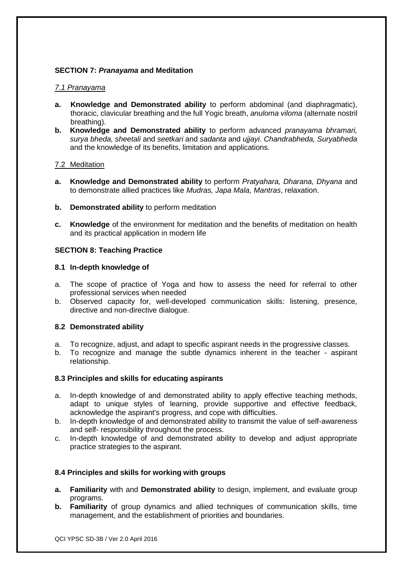## **SECTION 7:** *Pranayama* **and Meditation**

## *7.1 Pranayama*

- **a. Knowledge and Demonstrated ability** to perform abdominal (and diaphragmatic), thoracic, clavicular breathing and the full Yogic breath, *anuloma viloma* (alternate nostril breathing).
- **b. Knowledge and Demonstrated ability** to perform advanced *pranayama bhramari, surya bheda, sheetali* and *seetkari* and *sadanta* and *ujjayi. Chandrabheda, Suryabheda* and the knowledge of its benefits, limitation and applications.

## 7.2 Meditation

- **a. Knowledge and Demonstrated ability** to perform *Pratyahara, Dharana, Dhyana* and to demonstrate allied practices like *Mudras, Japa Mala, Mantras*, relaxation.
- **b. Demonstrated ability** to perform meditation
- **c. Knowledge** of the environment for meditation and the benefits of meditation on health and its practical application in modern life

## **SECTION 8: Teaching Practice**

## **8.1 In-depth knowledge of**

- a. The scope of practice of Yoga and how to assess the need for referral to other professional services when needed
- b. Observed capacity for, well-developed communication skills: listening, presence, directive and non-directive dialogue.

## **8.2 Demonstrated ability**

- a. To recognize, adjust, and adapt to specific aspirant needs in the progressive classes.
- b. To recognize and manage the subtle dynamics inherent in the teacher aspirant relationship.

## **8.3 Principles and skills for educating aspirants**

- a. In-depth knowledge of and demonstrated ability to apply effective teaching methods, adapt to unique styles of learning, provide supportive and effective feedback, acknowledge the aspirant's progress, and cope with difficulties.
- b. In-depth knowledge of and demonstrated ability to transmit the value of self-awareness and self- responsibility throughout the process.
- c. In-depth knowledge of and demonstrated ability to develop and adjust appropriate practice strategies to the aspirant.

## **8.4 Principles and skills for working with groups**

- **a. Familiarity** with and **Demonstrated ability** to design, implement, and evaluate group programs.
- **b. Familiarity** of group dynamics and allied techniques of communication skills, time management, and the establishment of priorities and boundaries.